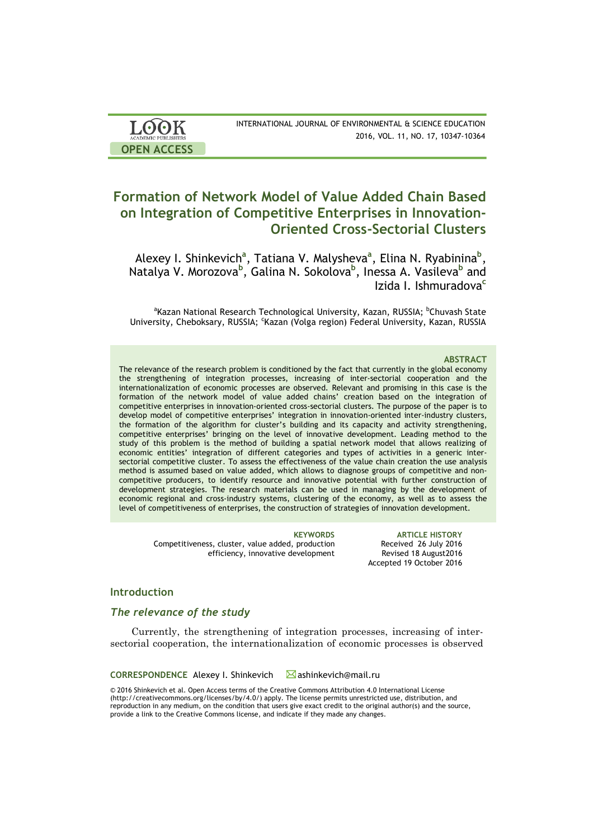| <b>LOOK</b>                | INTERNATIONAL JOURNAL OF ENVIRONMENTAL & SCIENCE EDUCATION |
|----------------------------|------------------------------------------------------------|
| <b>ACADEMIC PUBLISHERS</b> | 2016, VOL. 11, NO. 17, 10347-10364                         |
| <b>OPEN ACCESS</b>         |                                                            |

# **Formation of Network Model of Value Added Chain Based on Integration of Competitive Enterprises in Innovation-Oriented Cross-Sectorial Clusters**

Alexey I. Shinkevich<sup>a</sup>, Tatiana V. Malysheva<sup>a</sup>, Elina N. Ryabinina<sup>b</sup>, Natalya V. Morozova**<sup>b</sup>** , Galina N. Sokolova**<sup>b</sup>** , Inessa A. Vasileva**<sup>b</sup>** and Izida I. Ishmuradova**<sup>c</sup>**

<sup>a</sup>Kazan National Research Technological University, Kazan, RUSSIA; <sup>b</sup>Chuvash State University, Cheboksary, RUSSIA; <sup>c</sup>Kazan (Volga region) Federal University, Kazan, RUSSIA

#### **ABSTRACT**

The relevance of the research problem is conditioned by the fact that currently in the global economy the strengthening of integration processes, increasing of inter-sectorial cooperation and the internationalization of economic processes are observed. Relevant and promising in this case is the formation of the network model of value added chains' creation based on the integration of competitive enterprises in innovation-oriented cross-sectorial clusters. The purpose of the paper is to develop model of competitive enterprises' integration in innovation-oriented inter-industry clusters, the formation of the algorithm for cluster's building and its capacity and activity strengthening, competitive enterprises' bringing on the level of innovative development. Leading method to the study of this problem is the method of building a spatial network model that allows realizing of economic entities' integration of different categories and types of activities in a generic intersectorial competitive cluster. To assess the effectiveness of the value chain creation the use analysis method is assumed based on value added, which allows to diagnose groups of competitive and noncompetitive producers, to identify resource and innovative potential with further construction of development strategies. The research materials can be used in managing by the development of economic regional and cross-industry systems, clustering of the economy, as well as to assess the level of competitiveness of enterprises, the construction of strategies of innovation development.

Competitiveness, cluster, value added, production efficiency, innovative development

**KEYWORDS ARTICLE HISTORY** Received 26 July 2016 Revised 18 August2016 Accepted 19 October 2016

### **Introduction**

### *The relevance of the study*

Currently, the strengthening of integration processes, increasing of intersectorial cooperation, the internationalization of economic processes is observed

**CORRESPONDENCE** Alexey I. Shinkevich **M**ashinkevich@mail.ru

© 2016 Shinkevich et al. Open Access terms of the Creative Commons Attribution 4.0 International License (http://creativecommons.org/licenses/by/4.0/) apply. The license permits unrestricted use, distribution, and reproduction in any medium, on the condition that users give exact credit to the original author(s) and the source, provide a link to the Creative Commons license, and indicate if they made any changes.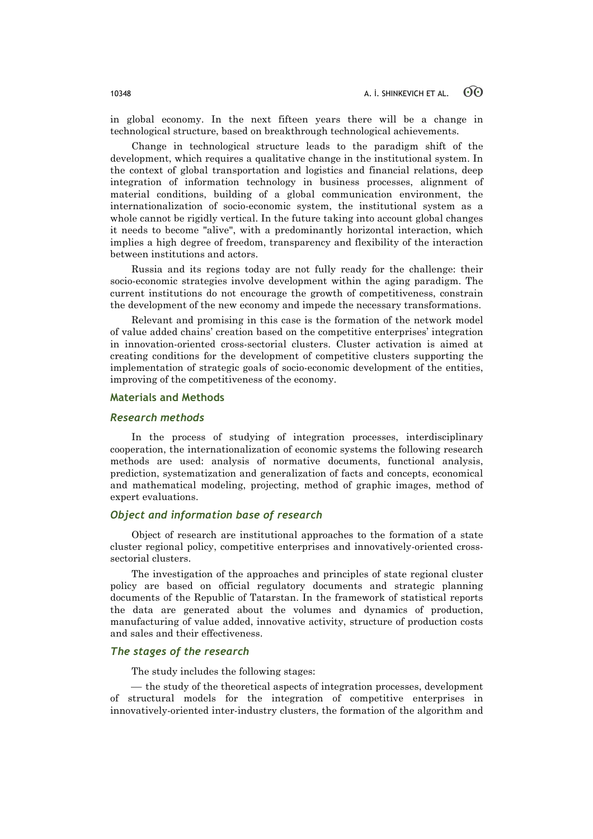in global economy. In the next fifteen years there will be a change in technological structure, based on breakthrough technological achievements.

Change in technological structure leads to the paradigm shift of the development, which requires a qualitative change in the institutional system. In the context of global transportation and logistics and financial relations, deep integration of information technology in business processes, alignment of material conditions, building of a global communication environment, the internationalization of socio-economic system, the institutional system as a whole cannot be rigidly vertical. In the future taking into account global changes it needs to become "alive", with a predominantly horizontal interaction, which implies a high degree of freedom, transparency and flexibility of the interaction between institutions and actors.

Russia and its regions today are not fully ready for the challenge: their socio-economic strategies involve development within the aging paradigm. The current institutions do not encourage the growth of competitiveness, constrain the development of the new economy and impede the necessary transformations.

Relevant and promising in this case is the formation of the network model of value added chains' creation based on the competitive enterprises' integration in innovation-oriented cross-sectorial clusters. Cluster activation is aimed at creating conditions for the development of competitive clusters supporting the implementation of strategic goals of socio-economic development of the entities, improving of the competitiveness of the economy.

# **Materials and Methods**

# *Research methods*

In the process of studying of integration processes, interdisciplinary cooperation, the internationalization of economic systems the following research methods are used: analysis of normative documents, functional analysis, prediction, systematization and generalization of facts and concepts, economical and mathematical modeling, projecting, method of graphic images, method of expert evaluations.

# *Object and information base of research*

Object of research are institutional approaches to the formation of a state cluster regional policy, competitive enterprises and innovatively-oriented crosssectorial clusters.

The investigation of the approaches and principles of state regional cluster policy are based on official regulatory documents and strategic planning documents of the Republic of Tatarstan. In the framework of statistical reports the data are generated about the volumes and dynamics of production, manufacturing of value added, innovative activity, structure of production costs and sales and their effectiveness.

# *The stages of the research*

The study includes the following stages:

— the study of the theoretical aspects of integration processes, development of structural models for the integration of competitive enterprises in innovatively-oriented inter-industry clusters, the formation of the algorithm and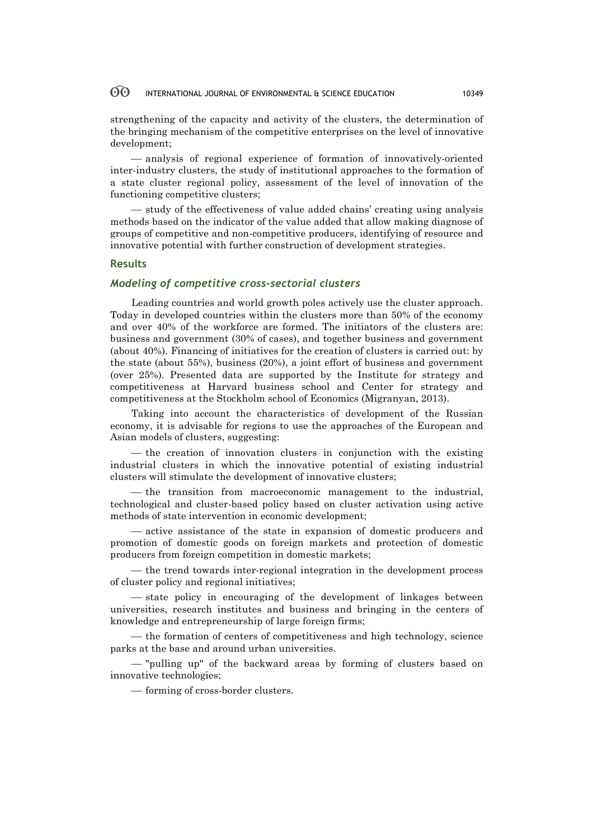strengthening of the capacity and activity of the clusters, the determination of the bringing mechanism of the competitive enterprises on the level of innovative development;

¾ analysis of regional experience of formation of innovatively-oriented inter-industry clusters, the study of institutional approaches to the formation of a state cluster regional policy, assessment of the level of innovation of the functioning competitive clusters;

¾ study of the effectiveness of value added chains' creating using analysis methods based on the indicator of the value added that allow making diagnose of groups of competitive and non-competitive producers, identifying of resource and innovative potential with further construction of development strategies.

#### **Results**

# *Modeling of competitive cross-sectorial clusters*

Leading countries and world growth poles actively use the cluster approach. Today in developed countries within the clusters more than 50% of the economy and over 40% of the workforce are formed. The initiators of the clusters are: business and government (30% of cases), and together business and government (about 40%). Financing of initiatives for the creation of clusters is carried out: by the state (about 55%), business (20%), a joint effort of business and government (over 25%). Presented data are supported by the Institute for strategy and competitiveness at Harvard business school and Center for strategy and competitiveness at the Stockholm school of Economics (Migranyan, 2013).

Taking into account the characteristics of development of the Russian economy, it is advisable for regions to use the approaches of the European and Asian models of clusters, suggesting:

— the creation of innovation clusters in conjunction with the existing industrial clusters in which the innovative potential of existing industrial clusters will stimulate the development of innovative clusters;

- the transition from macroeconomic management to the industrial, technological and cluster-based policy based on cluster activation using active methods of state intervention in economic development;

¾ active assistance of the state in expansion of domestic producers and promotion of domestic goods on foreign markets and protection of domestic producers from foreign competition in domestic markets;

¾ the trend towards inter-regional integration in the development process of cluster policy and regional initiatives;

— state policy in encouraging of the development of linkages between universities, research institutes and business and bringing in the centers of knowledge and entrepreneurship of large foreign firms;

— the formation of centers of competitiveness and high technology, science parks at the base and around urban universities.

¾ "pulling up" of the backward areas by forming of clusters based on innovative technologies;

¾ forming of cross-border clusters.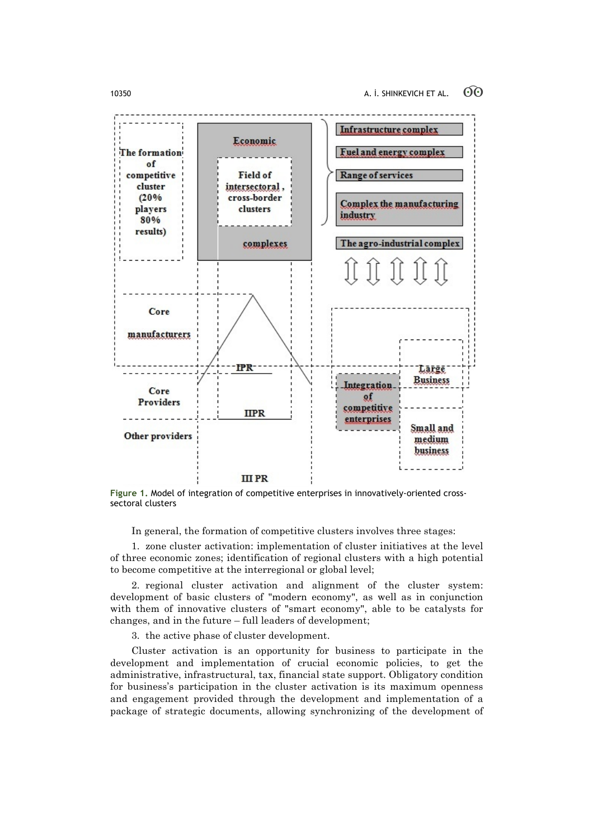

**Figure 1.** Model of integration of competitive enterprises in innovatively-oriented crosssectoral clusters

In general, the formation of competitive clusters involves three stages:

1. zone cluster activation: implementation of cluster initiatives at the level of three economic zones; identification of regional clusters with a high potential to become competitive at the interregional or global level;

2. regional cluster activation and alignment of the cluster system: development of basic clusters of "modern economy", as well as in conjunction with them of innovative clusters of "smart economy", able to be catalysts for changes, and in the future – full leaders of development;

3. the active phase of cluster development.

Cluster activation is an opportunity for business to participate in the development and implementation of crucial economic policies, to get the administrative, infrastructural, tax, financial state support. Obligatory condition for business's participation in the cluster activation is its maximum openness and engagement provided through the development and implementation of a package of strategic documents, allowing synchronizing of the development of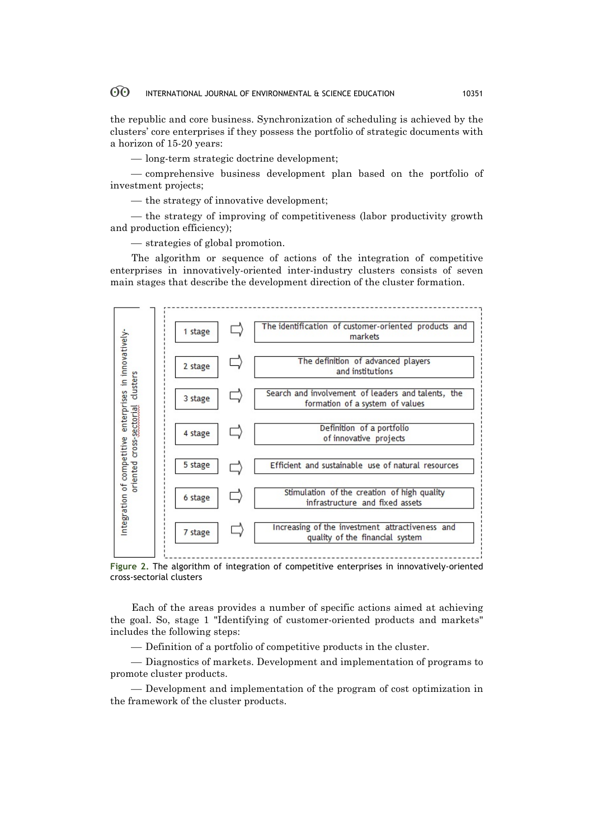the republic and core business. Synchronization of scheduling is achieved by the clusters' core enterprises if they possess the portfolio of strategic documents with a horizon of 15-20 years:

— long-term strategic doctrine development;

¾ comprehensive business development plan based on the portfolio of investment projects;

— the strategy of innovative development;

— the strategy of improving of competitiveness (labor productivity growth and production efficiency);

 $-$  strategies of global promotion.

The algorithm or sequence of actions of the integration of competitive enterprises in innovatively-oriented inter-industry clusters consists of seven main stages that describe the development direction of the cluster formation.



**Figure 2.** The algorithm of integration of competitive enterprises in innovatively-oriented cross-sectorial clusters

Each of the areas provides a number of specific actions aimed at achieving the goal. So, stage 1 "Identifying of customer-oriented products and markets" includes the following steps:

¾ Definition of a portfolio of competitive products in the cluster.

¾ Diagnostics of markets. Development and implementation of programs to promote cluster products.

¾ Development and implementation of the program of cost optimization in the framework of the cluster products.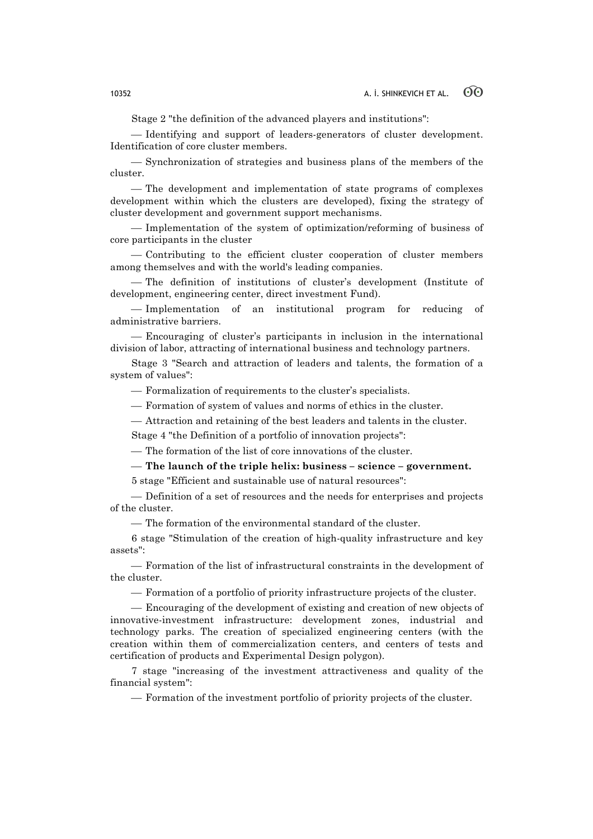Stage 2 "the definition of the advanced players and institutions":

¾ Identifying and support of leaders-generators of cluster development. Identification of core cluster members.

¾ Synchronization of strategies and business plans of the members of the cluster.

- The development and implementation of state programs of complexes development within which the clusters are developed), fixing the strategy of cluster development and government support mechanisms.

¾ Implementation of the system of optimization/reforming of business of core participants in the cluster

¾ Contributing to the efficient cluster cooperation of cluster members among themselves and with the world's leading companies.

¾ The definition of institutions of cluster's development (Institute of development, engineering center, direct investment Fund).

¾ Implementation of an institutional program for reducing of administrative barriers.

¾ Encouraging of cluster's participants in inclusion in the international division of labor, attracting of international business and technology partners.

Stage 3 "Search and attraction of leaders and talents, the formation of a system of values":

¾ Formalization of requirements to the cluster's specialists.

¾ Formation of system of values and norms of ethics in the cluster.

¾ Attraction and retaining of the best leaders and talents in the cluster.

Stage 4 "the Definition of a portfolio of innovation projects":

¾ The formation of the list of core innovations of the cluster.

### ¾ **The launch of the triple helix: business – science – government.**

5 stage "Efficient and sustainable use of natural resources":

¾ Definition of a set of resources and the needs for enterprises and projects of the cluster.

¾ The formation of the environmental standard of the cluster.

6 stage "Stimulation of the creation of high-quality infrastructure and key assets":

¾ Formation of the list of infrastructural constraints in the development of the cluster.

¾ Formation of a portfolio of priority infrastructure projects of the cluster.

¾ Encouraging of the development of existing and creation of new objects of innovative-investment infrastructure: development zones, industrial and technology parks. The creation of specialized engineering centers (with the creation within them of commercialization centers, and centers of tests and certification of products and Experimental Design polygon).

7 stage "increasing of the investment attractiveness and quality of the financial system":

¾ Formation of the investment portfolio of priority projects of the cluster.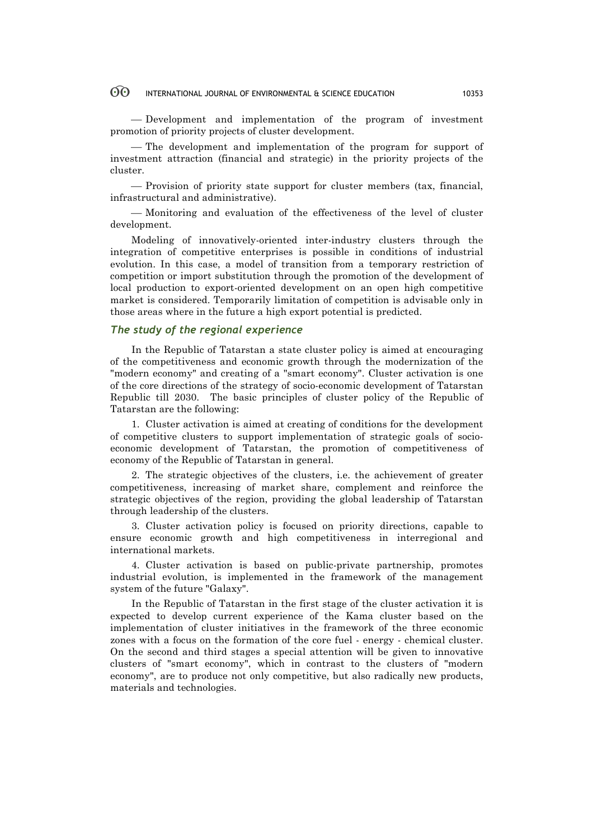¾ Development and implementation of the program of investment promotion of priority projects of cluster development.

— The development and implementation of the program for support of investment attraction (financial and strategic) in the priority projects of the cluster.

¾ Provision of priority state support for cluster members (tax, financial, infrastructural and administrative).

¾ Monitoring and evaluation of the effectiveness of the level of cluster development.

Modeling of innovatively-oriented inter-industry clusters through the integration of competitive enterprises is possible in conditions of industrial evolution. In this case, a model of transition from a temporary restriction of competition or import substitution through the promotion of the development of local production to export-oriented development on an open high competitive market is considered. Temporarily limitation of competition is advisable only in those areas where in the future a high export potential is predicted.

# *The study of the regional experience*

In the Republic of Tatarstan a state cluster policy is aimed at encouraging of the competitiveness and economic growth through the modernization of the "modern economy" and creating of a "smart economy". Cluster activation is one of the core directions of the strategy of socio-economic development of Tatarstan Republic till 2030.The basic principles of cluster policy of the Republic of Tatarstan are the following:

1. Cluster activation is aimed at creating of conditions for the development of competitive clusters to support implementation of strategic goals of socioeconomic development of Tatarstan, the promotion of competitiveness of economy of the Republic of Tatarstan in general.

2. The strategic objectives of the clusters, i.e. the achievement of greater competitiveness, increasing of market share, complement and reinforce the strategic objectives of the region, providing the global leadership of Tatarstan through leadership of the clusters.

3. Cluster activation policy is focused on priority directions, capable to ensure economic growth and high competitiveness in interregional and international markets.

4. Cluster activation is based on public-private partnership, promotes industrial evolution, is implemented in the framework of the management system of the future "Galaxy".

In the Republic of Tatarstan in the first stage of the cluster activation it is expected to develop current experience of the Kama cluster based on the implementation of cluster initiatives in the framework of the three economic zones with a focus on the formation of the core fuel - energy - chemical cluster. On the second and third stages a special attention will be given to innovative clusters of "smart economy", which in contrast to the clusters of "modern economy", are to produce not only competitive, but also radically new products, materials and technologies.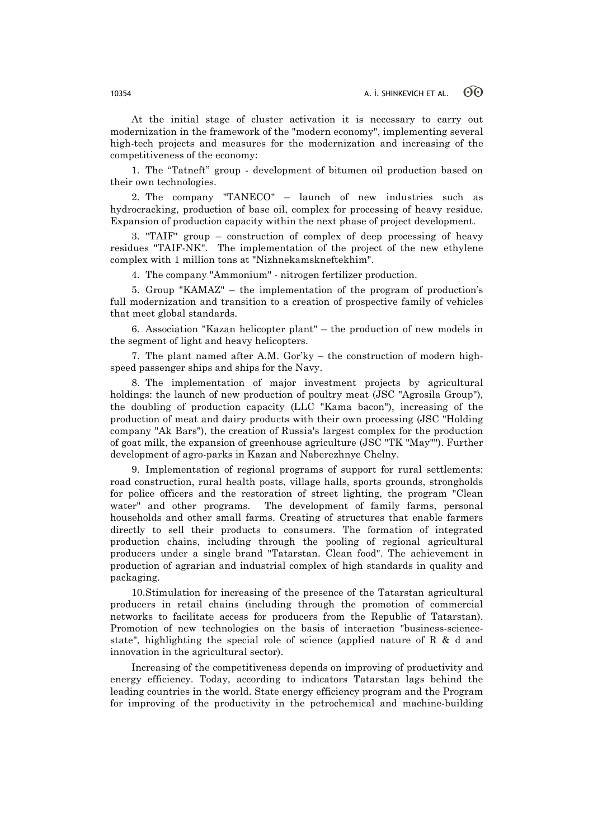At the initial stage of cluster activation it is necessary to carry out modernization in the framework of the "modern economy", implementing several high-tech projects and measures for the modernization and increasing of the competitiveness of the economy:

1. The "Tatneft" group - development of bitumen oil production based on their own technologies.

2. The company "TANECO" – launch of new industries such as hydrocracking, production of base oil, complex for processing of heavy residue. Expansion of production capacity within the next phase of project development.

3. "TAIF" group – construction of complex of deep processing of heavy residues "TAIF-NK". The implementation of the project of the new ethylene complex with 1 million tons at "Nizhnekamskneftekhim".

4. The company "Ammonium" - nitrogen fertilizer production.

5. Group "KAMAZ" – the implementation of the program of production's full modernization and transition to a creation of prospective family of vehicles that meet global standards.

6. Association "Kazan helicopter plant" – the production of new models in the segment of light and heavy helicopters.

7. The plant named after A.M. Gor'ky – the construction of modern highspeed passenger ships and ships for the Navy.

8. The implementation of major investment projects by agricultural holdings: the launch of new production of poultry meat (JSC "Agrosila Group"), the doubling of production capacity (LLC "Kama bacon"), increasing of the production of meat and dairy products with their own processing (JSC "Holding company "Ak Bars"), the creation of Russia's largest complex for the production of goat milk, the expansion of greenhouse agriculture (JSC "TK "May""). Further development of agro-parks in Kazan and Naberezhnye Chelny.

9. Implementation of regional programs of support for rural settlements: road construction, rural health posts, village halls, sports grounds, strongholds for police officers and the restoration of street lighting, the program "Clean water" and other programs. The development of family farms, personal households and other small farms. Creating of structures that enable farmers directly to sell their products to consumers. The formation of integrated production chains, including through the pooling of regional agricultural producers under a single brand "Tatarstan. Clean food". The achievement in production of agrarian and industrial complex of high standards in quality and packaging.

10.Stimulation for increasing of the presence of the Tatarstan agricultural producers in retail chains (including through the promotion of commercial networks to facilitate access for producers from the Republic of Tatarstan). Promotion of new technologies on the basis of interaction "business-sciencestate", highlighting the special role of science (applied nature of R  $\&$  d and innovation in the agricultural sector).

Increasing of the competitiveness depends on improving of productivity and energy efficiency. Today, according to indicators Tatarstan lags behind the leading countries in the world. State energy efficiency program and the Program for improving of the productivity in the petrochemical and machine-building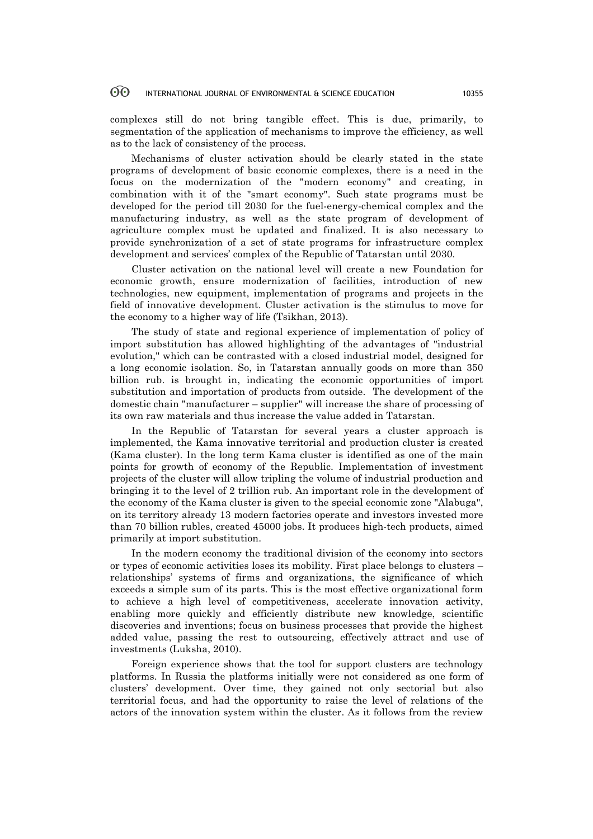complexes still do not bring tangible effect. This is due, primarily, to segmentation of the application of mechanisms to improve the efficiency, as well as to the lack of consistency of the process.

Mechanisms of cluster activation should be clearly stated in the state programs of development of basic economic complexes, there is a need in the focus on the modernization of the "modern economy" and creating, in combination with it of the "smart economy". Such state programs must be developed for the period till 2030 for the fuel-energy-chemical complex and the manufacturing industry, as well as the state program of development of agriculture complex must be updated and finalized. It is also necessary to provide synchronization of a set of state programs for infrastructure complex development and services' complex of the Republic of Tatarstan until 2030.

Cluster activation on the national level will create a new Foundation for economic growth, ensure modernization of facilities, introduction of new technologies, new equipment, implementation of programs and projects in the field of innovative development. Cluster activation is the stimulus to move for the economy to a higher way of life (Tsikhan, 2013).

The study of state and regional experience of implementation of policy of import substitution has allowed highlighting of the advantages of "industrial evolution," which can be contrasted with a closed industrial model, designed for a long economic isolation. So, in Tatarstan annually goods on more than 350 billion rub. is brought in, indicating the economic opportunities of import substitution and importation of products from outside. The development of the domestic chain "manufacturer – supplier" will increase the share of processing of its own raw materials and thus increase the value added in Tatarstan.

In the Republic of Tatarstan for several years a cluster approach is implemented, the Kama innovative territorial and production cluster is created (Kama cluster). In the long term Kama cluster is identified as one of the main points for growth of economy of the Republic. Implementation of investment projects of the cluster will allow tripling the volume of industrial production and bringing it to the level of 2 trillion rub. An important role in the development of the economy of the Kama cluster is given to the special economic zone "Alabuga", on its territory already 13 modern factories operate and investors invested more than 70 billion rubles, created 45000 jobs. It produces high-tech products, aimed primarily at import substitution.

In the modern economy the traditional division of the economy into sectors or types of economic activities loses its mobility. First place belongs to clusters – relationships' systems of firms and organizations, the significance of which exceeds a simple sum of its parts. This is the most effective organizational form to achieve a high level of competitiveness, accelerate innovation activity, enabling more quickly and efficiently distribute new knowledge, scientific discoveries and inventions; focus on business processes that provide the highest added value, passing the rest to outsourcing, effectively attract and use of investments (Luksha, 2010).

Foreign experience shows that the tool for support clusters are technology platforms. In Russia the platforms initially were not considered as one form of clusters' development. Over time, they gained not only sectorial but also territorial focus, and had the opportunity to raise the level of relations of the actors of the innovation system within the cluster. As it follows from the review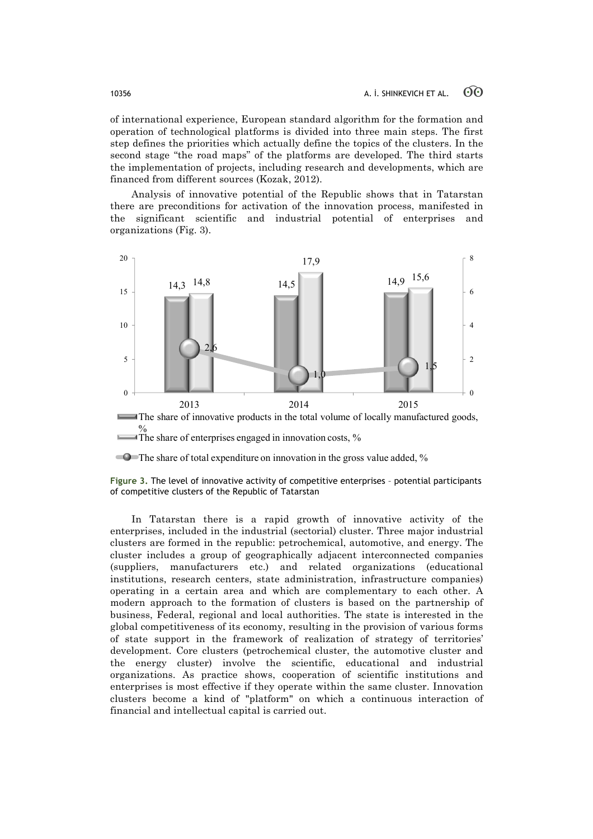of international experience, European standard algorithm for the formation and operation of technological platforms is divided into three main steps. The first step defines the priorities which actually define the topics of the clusters. In the second stage "the road maps" of the platforms are developed. The third starts the implementation of projects, including research and developments, which are financed from different sources (Kozak, 2012).

Analysis of innovative potential of the Republic shows that in Tatarstan there are preconditions for activation of the innovation process, manifested in the significant scientific and industrial potential of enterprises and organizations (Fig. 3).



The share of enterprises engaged in innovation costs,  $%$ 

In Tatarstan there is a rapid growth of innovative activity of the enterprises, included in the industrial (sectorial) cluster. Three major industrial clusters are formed in the republic: petrochemical, automotive, and energy. The cluster includes a group of geographically adjacent interconnected companies (suppliers, manufacturers etc.) and related organizations (educational institutions, research centers, state administration, infrastructure companies) operating in a certain area and which are complementary to each other. A modern approach to the formation of clusters is based on the partnership of business, Federal, regional and local authorities. The state is interested in the global competitiveness of its economy, resulting in the provision of various forms of state support in the framework of realization of strategy of territories' development. Core clusters (petrochemical cluster, the automotive cluster and the energy cluster) involve the scientific, educational and industrial organizations. As practice shows, cooperation of scientific institutions and enterprises is most effective if they operate within the same cluster. Innovation clusters become a kind of "platform" on which a continuous interaction of financial and intellectual capital is carried out.

The share of total expenditure on innovation in the gross value added, %

**Figure 3.** The level of innovative activity of competitive enterprises – potential participants of competitive clusters of the Republic of Tatarstan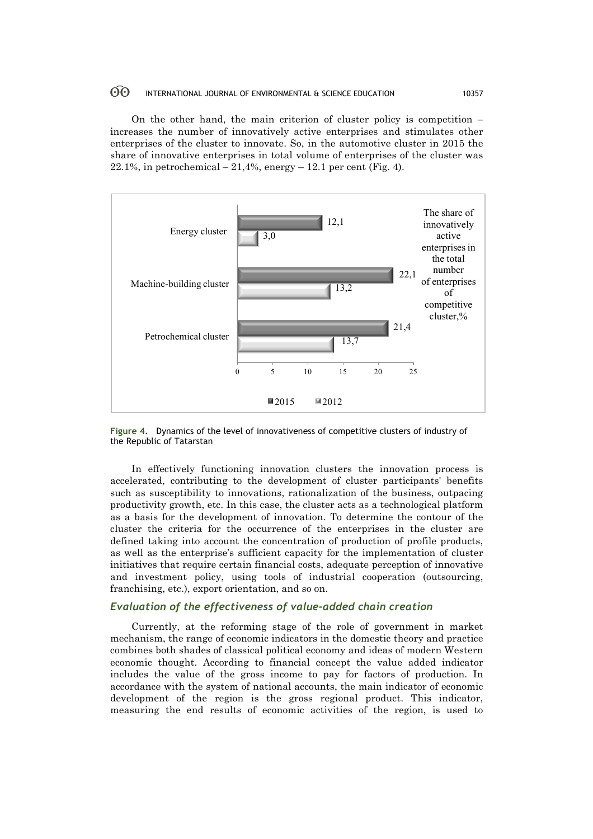On the other hand, the main criterion of cluster policy is competition – increases the number of innovatively active enterprises and stimulates other enterprises of the cluster to innovate. So, in the automotive cluster in 2015 the share of innovative enterprises in total volume of enterprises of the cluster was  $22.1\%$ , in petrochemical  $-21.4\%$ , energy  $-12.1$  per cent (Fig. 4).



**Figure 4.** Dynamics of the level of innovativeness of competitive clusters of industry of the Republic of Tatarstan

In effectively functioning innovation clusters the innovation process is accelerated, contributing to the development of cluster participants' benefits such as susceptibility to innovations, rationalization of the business, outpacing productivity growth, etc. In this case, the cluster acts as a technological platform as a basis for the development of innovation. To determine the contour of the cluster the criteria for the occurrence of the enterprises in the cluster are defined taking into account the concentration of production of profile products, as well as the enterprise's sufficient capacity for the implementation of cluster initiatives that require certain financial costs, adequate perception of innovative and investment policy, using tools of industrial cooperation (outsourcing, franchising, etc.), export orientation, and so on.

# *Evaluation of the effectiveness of value-added chain creation*

Currently, at the reforming stage of the role of government in market mechanism, the range of economic indicators in the domestic theory and practice combines both shades of classical political economy and ideas of modern Western economic thought. According to financial concept the value added indicator includes the value of the gross income to pay for factors of production. In accordance with the system of national accounts, the main indicator of economic development of the region is the gross regional product. This indicator, measuring the end results of economic activities of the region, is used to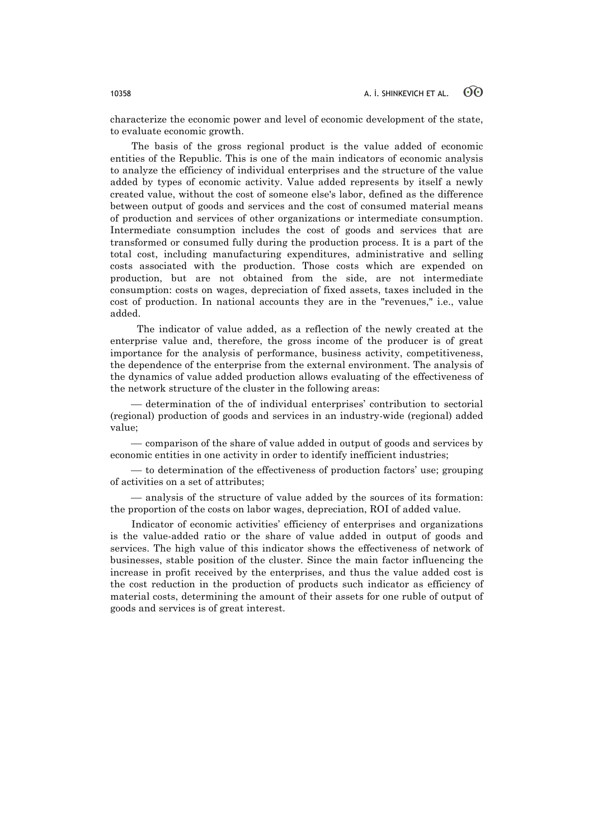characterize the economic power and level of economic development of the state, to evaluate economic growth.

The basis of the gross regional product is the value added of economic entities of the Republic. This is one of the main indicators of economic analysis to analyze the efficiency of individual enterprises and the structure of the value added by types of economic activity. Value added represents by itself a newly created value, without the cost of someone else's labor, defined as the difference between output of goods and services and the cost of consumed material means of production and services of other organizations or intermediate consumption. Intermediate consumption includes the cost of goods and services that are transformed or consumed fully during the production process. It is a part of the total cost, including manufacturing expenditures, administrative and selling costs associated with the production. Those costs which are expended on production, but are not obtained from the side, are not intermediate consumption: costs on wages, depreciation of fixed assets, taxes included in the cost of production. In national accounts they are in the "revenues," i.e., value added.

 The indicator of value added, as a reflection of the newly created at the enterprise value and, therefore, the gross income of the producer is of great importance for the analysis of performance, business activity, competitiveness, the dependence of the enterprise from the external environment. The analysis of the dynamics of value added production allows evaluating of the effectiveness of the network structure of the cluster in the following areas:

¾ determination of the of individual enterprises' contribution to sectorial (regional) production of goods and services in an industry-wide (regional) added value;

¾ comparison of the share of value added in output of goods and services by economic entities in one activity in order to identify inefficient industries;

¾ to determination of the effectiveness of production factors' use; grouping of activities on a set of attributes;

 $-$  analysis of the structure of value added by the sources of its formation: the proportion of the costs on labor wages, depreciation, ROI of added value.

Indicator of economic activities' efficiency of enterprises and organizations is the value-added ratio or the share of value added in output of goods and services. The high value of this indicator shows the effectiveness of network of businesses, stable position of the cluster. Since the main factor influencing the increase in profit received by the enterprises, and thus the value added cost is the cost reduction in the production of products such indicator as efficiency of material costs, determining the amount of their assets for one ruble of output of goods and services is of great interest.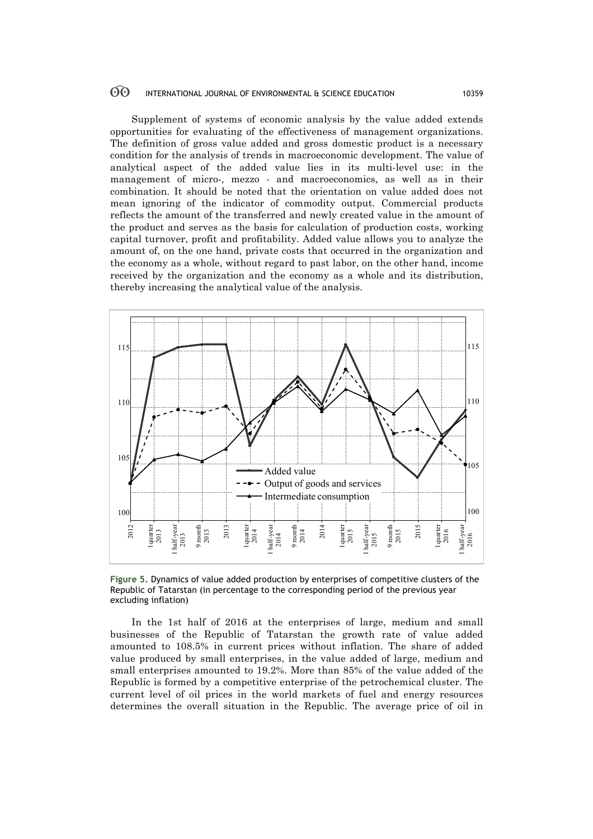Supplement of systems of economic analysis by the value added extends opportunities for evaluating of the effectiveness of management organizations. The definition of gross value added and gross domestic product is a necessary condition for the analysis of trends in macroeconomic development. The value of analytical aspect of the added value lies in its multi-level use: in the management of micro-, mezzo - and macroeconomics, as well as in their combination. It should be noted that the orientation on value added does not mean ignoring of the indicator of commodity output. Commercial products reflects the amount of the transferred and newly created value in the amount of the product and serves as the basis for calculation of production costs, working capital turnover, profit and profitability. Added value allows you to analyze the amount of, on the one hand, private costs that occurred in the organization and the economy as a whole, without regard to past labor, on the other hand, income received by the organization and the economy as a whole and its distribution, thereby increasing the analytical value of the analysis.



**Figure 5.** Dynamics of value added production by enterprises of competitive clusters of the Republic of Tatarstan (in percentage to the corresponding period of the previous year excluding inflation)

In the 1st half of 2016 at the enterprises of large, medium and small businesses of the Republic of Tatarstan the growth rate of value added amounted to 108.5% in current prices without inflation. The share of added value produced by small enterprises, in the value added of large, medium and small enterprises amounted to 19.2%. More than 85% of the value added of the Republic is formed by a competitive enterprise of the petrochemical cluster. The current level of oil prices in the world markets of fuel and energy resources Example the set of Tatarstan (in percentage to the corresponding period of the previous year<br>
Example 1. The set of Tatarstan (in percentage to the corresponding period of the previous year<br>
Example 1. Dynamics of value a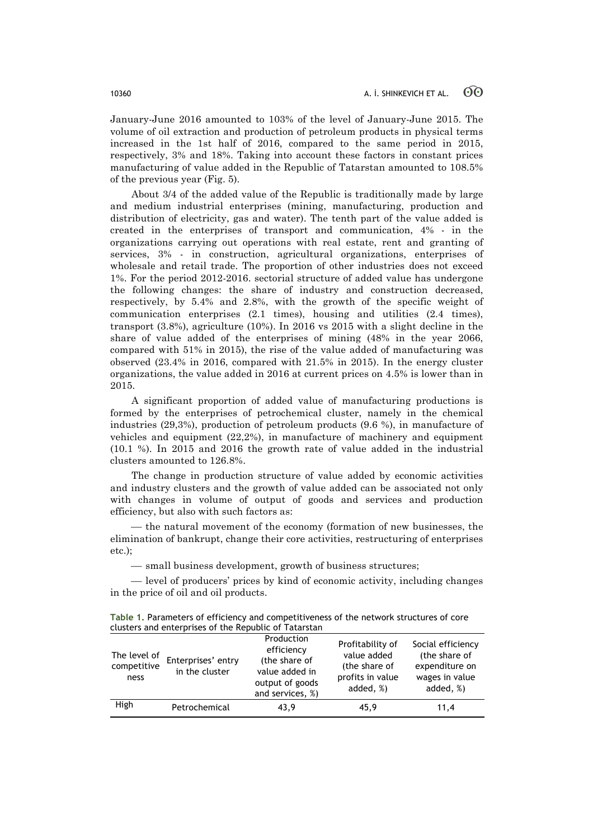January-June 2016 amounted to 103% of the level of January-June 2015. The volume of oil extraction and production of petroleum products in physical terms increased in the 1st half of 2016, compared to the same period in 2015, respectively, 3% and 18%. Taking into account these factors in constant prices manufacturing of value added in the Republic of Tatarstan amounted to 108.5% of the previous year (Fig. 5).

About 3/4 of the added value of the Republic is traditionally made by large and medium industrial enterprises (mining, manufacturing, production and distribution of electricity, gas and water). The tenth part of the value added is created in the enterprises of transport and communication, 4% - in the organizations carrying out operations with real estate, rent and granting of services, 3% - in construction, agricultural organizations, enterprises of wholesale and retail trade. The proportion of other industries does not exceed 1%. For the period 2012-2016. sectorial structure of added value has undergone the following changes: the share of industry and construction decreased, respectively, by 5.4% and 2.8%, with the growth of the specific weight of communication enterprises (2.1 times), housing and utilities (2.4 times), transport (3.8%), agriculture (10%). In 2016 vs 2015 with a slight decline in the share of value added of the enterprises of mining (48% in the year 2066, compared with 51% in 2015), the rise of the value added of manufacturing was observed (23.4% in 2016, compared with 21.5% in 2015). In the energy cluster organizations, the value added in 2016 at current prices on 4.5% is lower than in 2015.

A significant proportion of added value of manufacturing productions is formed by the enterprises of petrochemical cluster, namely in the chemical industries (29,3%), production of petroleum products (9.6 %), in manufacture of vehicles and equipment (22,2%), in manufacture of machinery and equipment (10.1 %). In 2015 and 2016 the growth rate of value added in the industrial clusters amounted to 126.8%.

The change in production structure of value added by economic activities and industry clusters and the growth of value added can be associated not only with changes in volume of output of goods and services and production efficiency, but also with such factors as:

— the natural movement of the economy (formation of new businesses, the elimination of bankrupt, change their core activities, restructuring of enterprises etc.);

 $-$  small business development, growth of business structures;

— level of producers' prices by kind of economic activity, including changes in the price of oil and oil products.

| Table 1. Parameters of efficiency and competitiveness of the network structures of core |
|-----------------------------------------------------------------------------------------|
| clusters and enterprises of the Republic of Tatarstan                                   |

| The level of<br>competitive<br>ness | Enterprises' entry<br>in the cluster | Production<br>efficiency<br>(the share of<br>value added in<br>output of goods<br>and services, %) | Profitability of<br>value added<br>(the share of<br>profits in value<br>added, %) | Social efficiency<br>(the share of<br>expenditure on<br>wages in value<br>added, %) |
|-------------------------------------|--------------------------------------|----------------------------------------------------------------------------------------------------|-----------------------------------------------------------------------------------|-------------------------------------------------------------------------------------|
| High                                | Petrochemical                        | 43.9                                                                                               | 45.9                                                                              | 11,4                                                                                |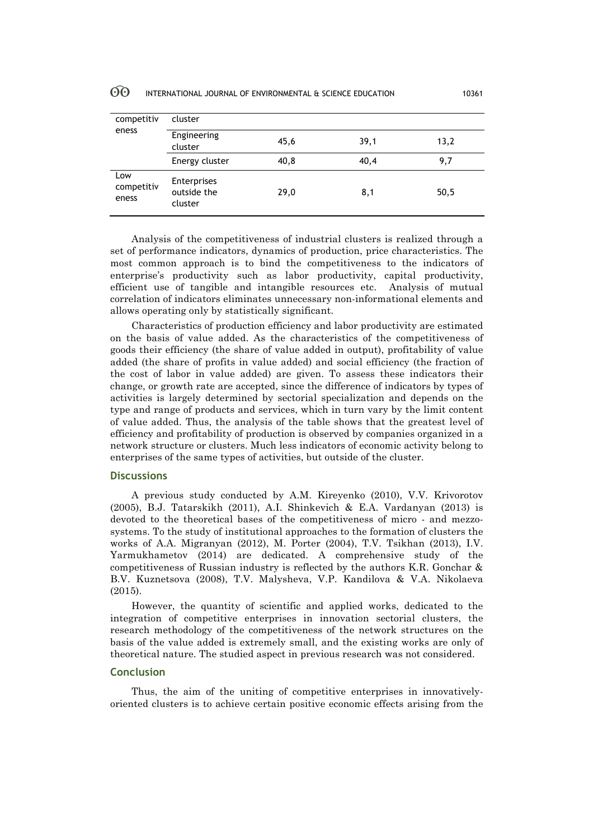| competitiv<br>eness        | cluster                               |       |      |      |  |
|----------------------------|---------------------------------------|-------|------|------|--|
|                            | Engineering<br>cluster                | 45,6  | 39,1 | 13,2 |  |
|                            | Energy cluster                        | 40, 8 | 40,4 | 9,7  |  |
| Low<br>competitiv<br>eness | Enterprises<br>outside the<br>cluster | 29,0  | 8,1  | 50,5 |  |

Analysis of the competitiveness of industrial clusters is realized through a set of performance indicators, dynamics of production, price characteristics. The most common approach is to bind the competitiveness to the indicators of enterprise's productivity such as labor productivity, capital productivity, efficient use of tangible and intangible resources etc. Analysis of mutual correlation of indicators eliminates unnecessary non-informational elements and allows operating only by statistically significant.

Characteristics of production efficiency and labor productivity are estimated on the basis of value added. As the characteristics of the competitiveness of goods their efficiency (the share of value added in output), profitability of value added (the share of profits in value added) and social efficiency (the fraction of the cost of labor in value added) are given. To assess these indicators their change, or growth rate are accepted, since the difference of indicators by types of activities is largely determined by sectorial specialization and depends on the type and range of products and services, which in turn vary by the limit content of value added. Thus, the analysis of the table shows that the greatest level of efficiency and profitability of production is observed by companies organized in a network structure or clusters. Much less indicators of economic activity belong to enterprises of the same types of activities, but outside of the cluster.

# **Discussions**

A previous study conducted by A.M. Kireyenko (2010), V.V. Krivorotov (2005), B.J. Tatarskikh (2011), A.I. Shinkevich & E.A. Vardanyan (2013) is devoted to the theoretical bases of the competitiveness of micro - and mezzosystems. To the study of institutional approaches to the formation of clusters the works of A.A. Migranyan (2012), M. Porter (2004), T.V. Tsikhan (2013), I.V. Yarmukhametov (2014) are dedicated. A comprehensive study of the competitiveness of Russian industry is reflected by the authors K.R. Gonchar & B.V. Kuznetsova (2008), T.V. Malysheva, V.P. Kandilova & V.A. Nikolaeva (2015).

However, the quantity of scientific and applied works, dedicated to the integration of competitive enterprises in innovation sectorial clusters, the research methodology of the competitiveness of the network structures on the basis of the value added is extremely small, and the existing works are only of theoretical nature. The studied aspect in previous research was not considered.

### **Conclusion**

Thus, the aim of the uniting of competitive enterprises in innovativelyoriented clusters is to achieve certain positive economic effects arising from the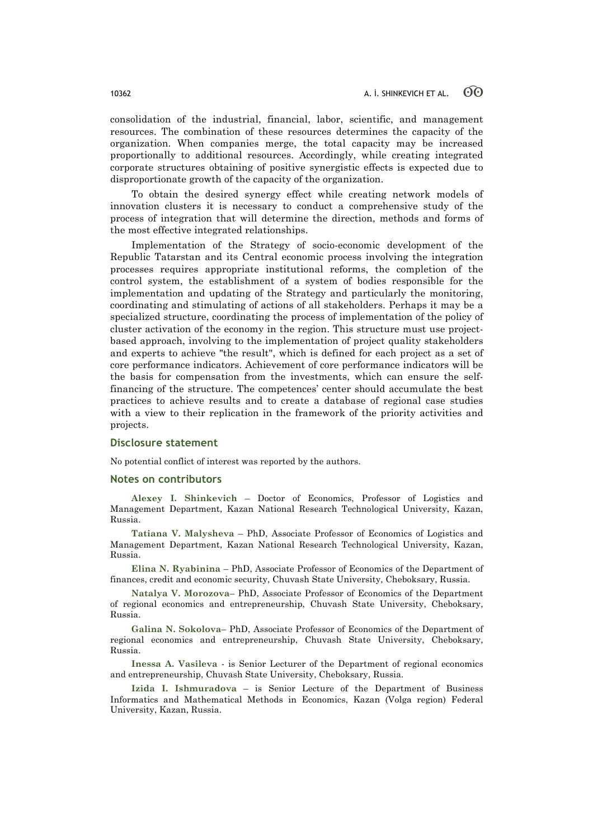consolidation of the industrial, financial, labor, scientific, and management resources. The combination of these resources determines the capacity of the organization. When companies merge, the total capacity may be increased proportionally to additional resources. Accordingly, while creating integrated corporate structures obtaining of positive synergistic effects is expected due to disproportionate growth of the capacity of the organization.

To obtain the desired synergy effect while creating network models of innovation clusters it is necessary to conduct a comprehensive study of the process of integration that will determine the direction, methods and forms of the most effective integrated relationships.

Implementation of the Strategy of socio-economic development of the Republic Tatarstan and its Central economic process involving the integration processes requires appropriate institutional reforms, the completion of the control system, the establishment of a system of bodies responsible for the implementation and updating of the Strategy and particularly the monitoring, coordinating and stimulating of actions of all stakeholders. Perhaps it may be a specialized structure, coordinating the process of implementation of the policy of cluster activation of the economy in the region. This structure must use projectbased approach, involving to the implementation of project quality stakeholders and experts to achieve "the result", which is defined for each project as a set of core performance indicators. Achievement of core performance indicators will be the basis for compensation from the investments, which can ensure the selffinancing of the structure. The competences' center should accumulate the best practices to achieve results and to create a database of regional case studies with a view to their replication in the framework of the priority activities and projects.

#### **Disclosure statement**

No potential conflict of interest was reported by the authors.

#### **Notes on contributors**

**Alexey I. Shinkevich** – Doctor of Economics, Professor of Logistics and Management Department, Kazan National Research Technological University, Kazan, Russia.

**Tatiana V. Malysheva** – PhD, Associate Professor of Economics of Logistics and Management Department, Kazan National Research Technological University, Kazan, Russia.

**Elina N. Ryabinina** – PhD, Associate Professor of Economics of the Department of finances, credit and economic security, Chuvash State University, Cheboksary, Russia.

**Natalya V. Morozova**– PhD, Associate Professor of Economics of the Department of regional economics and entrepreneurship, Chuvash State University, Cheboksary, Russia.

**Galina N. Sokolova**– PhD, Associate Professor of Economics of the Department of regional economics and entrepreneurship, Chuvash State University, Cheboksary, Russia.

**Inessa A. Vasileva** - is Senior Lecturer of the Department of regional economics and entrepreneurship, Chuvash State University, Cheboksary, Russia.

**Izida I. Ishmuradova** – is Senior Lecture of the Department of Business Informatics and Mathematical Methods in Economics, Kazan (Volga region) Federal University, Kazan, Russia.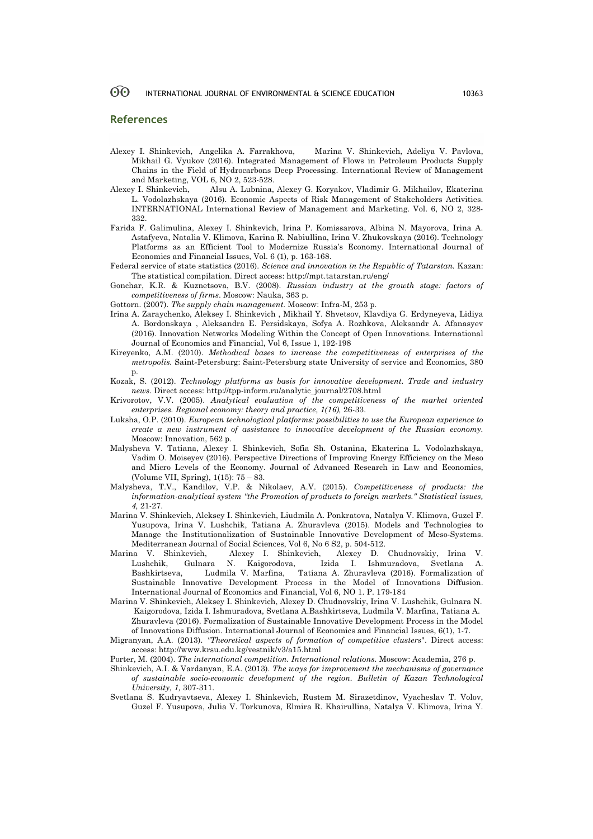#### **References**

- Alexey I. Shinkevich, Angelika A. Farrakhova, Marina V. Shinkevich, Adeliya V. Pavlova, Mikhail G. Vyukov (2016). Integrated Management of Flows in Petroleum Products Supply Chains in the Field of Hydrocarbons Deep Processing. International Review of Management and Marketing, VOL 6, NO 2, 523-528.
- Alexey I. Shinkevich, Alsu A. Lubnina, Alexey G. Koryakov, Vladimir G. Mikhailov, Ekaterina L. Vodolazhskaya (2016). Economic Aspects of Risk Management of Stakeholders Activities. INTERNATIONAL International Review of Management and Marketing. Vol. 6, NO 2, 328- 332.
- Farida F. Galimulina, Alexey I. Shinkevich, Irina P. Komissarova, Albina N. Mayorova, Irina A. Astafyeva, Natalia V. Klimova, Karina R. Nabiullina, Irina V. Zhukovskaya (2016). Technology Platforms as an Efficient Tool to Modernize Russia's Economy. International Journal of Economics and Financial Issues, Vol. 6 (1), р. 163-168.
- Federal service of state statistics (2016). *Science and innovation in the Republic of Tatarstan.* Kazan: The statistical compilation. Direct access: http://mpt.tatarstan.ru/eng/
- Gonchar, K.R. & Kuznetsova, B.V. (2008). *Russian industry at the growth stage: factors of competitiveness of firms*. Moscow: Nauka, 363 p.
- Gottorn. (2007). *The supply chain management.* Moscow: Infra-M, 253 p.
- Irina A. Zaraychenko, Aleksey I. Shinkevich , Mikhail Y. Shvetsov, Klavdiya G. Erdyneyeva, Lidiya A. Bordonskaya , Aleksandra E. Persidskaya, Sofya A. Rozhkova, Aleksandr A. Afanasyev (2016). Innovation Networks Modeling Within the Concept of Open Innovations. International Journal of Economics and Financial, Vol 6, Issue 1, 192-198
- Kireyenko, A.M. (2010). *Methodical bases to increase the competitiveness of enterprises of the metropolis.* Saint-Petersburg: Saint-Petersburg state University of service and Economics, 380  $p<sub>i</sub>$
- Kozak, S. (2012). *Technology platforms as basis for innovative development. Trade and industry news*. Direct access: http://tpp-inform.ru/analytic\_journal/2708.html
- Krivorotov, V.V. (2005). *Analytical evaluation of the competitiveness of the market oriented*  enterprises. Regional economy: theory and practice,  $1(16)$ , 26-33.
- Luksha, O.P. (2010). *European technological platforms: possibilities to use the European experience to create a new instrument of assistance to innovative development of the Russian economy.*  Moscow: Innovation, 562 p.
- Malysheva V. Tatiana, Alexey I. Shinkevich, Sofia Sh. Ostanina, Ekaterina L. Vodolazhskaya, Vadim O. Moiseyev (2016). Perspective Directions of Improving Energy Efficiency on the Meso and Micro Levels of the Economy. Journal of Advanced Research in Law and Economics, (Volume VII, Spring), 1(15): 75 – 83.
- Malysheva, T.V., Kandilov, V.P. & Nikolaev, A.V. (2015). *Competitiveness of products: the information-analytical system "the Promotion of products to foreign markets." Statistical issues, 4,* 21-27.
- Marina V. Shinkevich, Aleksey I. Shinkevich, Liudmila A. Ponkratova, Natalya V. Klimova, Guzel F. Yusupova, Irina V. Lushchik, Tatiana A. Zhuravleva (2015). Models and Technologies to Manage the Institutionalization of Sustainable Innovative Development of Meso-Systems. Mediterranean Journal of Social Sciences, Vol 6, No 6 S2, р. 504-512.
- Marina V. Shinkevich, Alexey I. Shinkevich, Alexey D. Chudnovskiy, Irina V. Lushchik, Gulnara N. Kaigorodova, Izida I. Ishmuradova, Svetlana A. Bashkirtseva, Ludmila V. Marfina, Tatiana A. Zhuravleva (2016). Formalization of Sustainable Innovative Development Process in the Model of Innovations Diffusion. International Journal of Economics and Financial, Vol 6, NO 1. Р. 179-184
- Marina V. Shinkevich, Aleksey I. Shinkevich, Alexey D. Chudnovskiy, Irina V. Lushchik, Gulnara N. Kaigorodova, Izida I. Ishmuradova, Svetlana A.Bashkirtseva, Ludmila V. Marfina, Tatiana A. Zhuravleva (2016). Formalization of Sustainable Innovative Development Process in the Model of Innovations Diffusion. International Journal of Economics and Financial Issues, 6(1), 1-7.
- Migranyan, A.A. (2013). *"Theoretical aspects of formation of competitive clusters*". Direct access: access: http://www.krsu.edu.kg/vestnik/v3/a15.html
- Porter, M. (2004). *The international competition. International relations*. Moscow: Academia, 276 p.
- Shinkevich, A.I. & Vardanyan, E.A. (2013). *The ways for improvement the mechanisms of governance of sustainable socio-economic development of the region. Bulletin of Kazan Technological University, 1,* 307-311.
- Svetlana S. Kudryavtseva, Alexey I. Shinkevich, Rustem M. Sirazetdinov, Vyacheslav T. Volov, Guzel F. Yusupova, Julia V. Torkunova, Elmira R. Khairullina, Natalya V. Klimova, Irina Y.